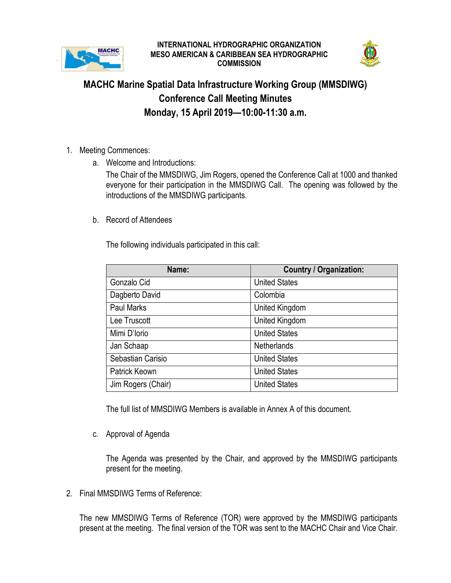

## **INTERNATIONAL HYDROGRAPHIC ORGANIZATION MESO AMERICAN & CARIBBEAN SEA HYDROGRAPHIC COMMISSION**



## **MACHC Marine Spatial Data Infrastructure Working Group (MMSDIWG) Conference Call Meeting Minutes Monday, 15 April 2019—10:00-11:30 a.m.**

- 1. Meeting Commences:
	- a. Welcome and Introductions:

The Chair of the MMSDIWG, Jim Rogers, opened the Conference Call at 1000 and thanked everyone for their participation in the MMSDIWG Call. The opening was followed by the introductions of the MMSDIWG participants.

b. Record of Attendees

The following individuals participated in this call:

| Name:              | <b>Country / Organization:</b> |  |  |
|--------------------|--------------------------------|--|--|
| Gonzalo Cid        | <b>United States</b>           |  |  |
| Dagberto David     | Colombia                       |  |  |
| <b>Paul Marks</b>  | United Kingdom                 |  |  |
| Lee Truscott       | United Kingdom                 |  |  |
| Mimi D'Iorio       | <b>United States</b>           |  |  |
| Jan Schaap         | <b>Netherlands</b>             |  |  |
| Sebastian Carisio  | <b>United States</b>           |  |  |
| Patrick Keown      | <b>United States</b>           |  |  |
| Jim Rogers (Chair) | <b>United States</b>           |  |  |

The full list of MMSDIWG Members is available in Annex A of this document.

c. Approval of Agenda

The Agenda was presented by the Chair, and approved by the MMSDIWG participants present for the meeting.

2. Final MMSDIWG Terms of Reference:

The new MMSDIWG Terms of Reference (TOR) were approved by the MMSDIWG participants present at the meeting. The final version of the TOR was sent to the MACHC Chair and Vice Chair.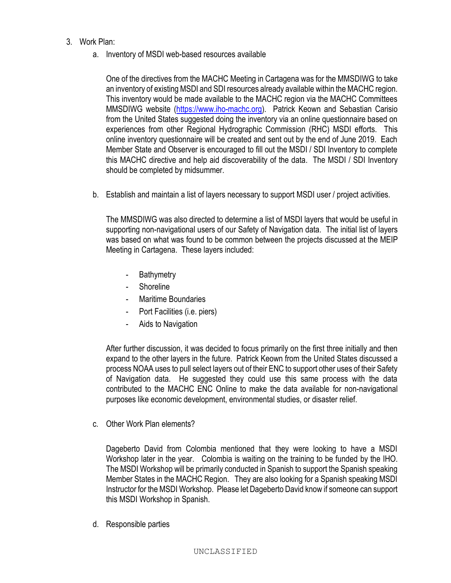## 3. Work Plan:

a. Inventory of MSDI web-based resources available

One of the directives from the MACHC Meeting in Cartagena was for the MMSDIWG to take an inventory of existing MSDI and SDI resources already available within the MACHC region. This inventory would be made available to the MACHC region via the MACHC Committees MMSDIWG website [\(https://www.iho-machc.org\)](https://www.iho-machc.org/). Patrick Keown and Sebastian Carisio from the United States suggested doing the inventory via an online questionnaire based on experiences from other Regional Hydrographic Commission (RHC) MSDI efforts. This online inventory questionnaire will be created and sent out by the end of June 2019. Each Member State and Observer is encouraged to fill out the MSDI / SDI Inventory to complete this MACHC directive and help aid discoverability of the data. The MSDI / SDI Inventory should be completed by midsummer.

b. Establish and maintain a list of layers necessary to support MSDI user / project activities.

The MMSDIWG was also directed to determine a list of MSDI layers that would be useful in supporting non-navigational users of our Safety of Navigation data. The initial list of layers was based on what was found to be common between the projects discussed at the MEIP Meeting in Cartagena. These layers included:

- **Bathymetry**
- **Shoreline**
- Maritime Boundaries
- Port Facilities (i.e. piers)
- Aids to Navigation

After further discussion, it was decided to focus primarily on the first three initially and then expand to the other layers in the future. Patrick Keown from the United States discussed a process NOAA uses to pull select layers out of their ENC to support other uses of their Safety of Navigation data. He suggested they could use this same process with the data contributed to the MACHC ENC Online to make the data available for non-navigational purposes like economic development, environmental studies, or disaster relief.

c. Other Work Plan elements?

Dageberto David from Colombia mentioned that they were looking to have a MSDI Workshop later in the year. Colombia is waiting on the training to be funded by the IHO. The MSDI Workshop will be primarily conducted in Spanish to support the Spanish speaking Member States in the MACHC Region. They are also looking for a Spanish speaking MSDI Instructor for the MSDI Workshop. Please let Dageberto David know if someone can support this MSDI Workshop in Spanish.

d. Responsible parties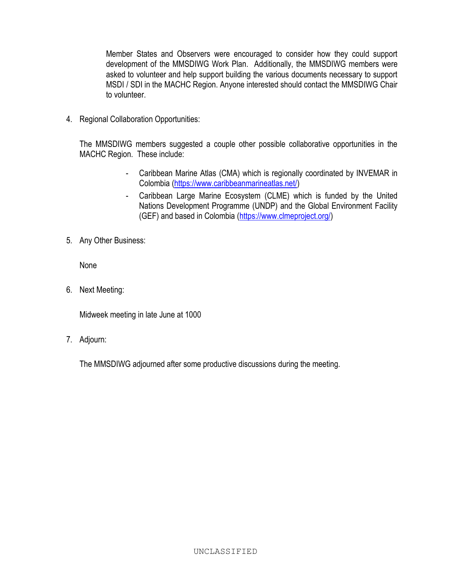Member States and Observers were encouraged to consider how they could support development of the MMSDIWG Work Plan. Additionally, the MMSDIWG members were asked to volunteer and help support building the various documents necessary to support MSDI / SDI in the MACHC Region. Anyone interested should contact the MMSDIWG Chair to volunteer.

4. Regional Collaboration Opportunities:

The MMSDIWG members suggested a couple other possible collaborative opportunities in the MACHC Region. These include:

- Caribbean Marine Atlas (CMA) which is regionally coordinated by INVEMAR in Colombia [\(https://www.caribbeanmarineatlas.net/\)](https://www.caribbeanmarineatlas.net/)
- Caribbean Large Marine Ecosystem (CLME) which is funded by the United Nations Development Programme (UNDP) and the Global Environment Facility (GEF) and based in Colombia [\(https://www.clmeproject.org/\)](https://www.clmeproject.org/)
- 5. Any Other Business:

None

6. Next Meeting:

Midweek meeting in late June at 1000

7. Adjourn:

The MMSDIWG adjourned after some productive discussions during the meeting.